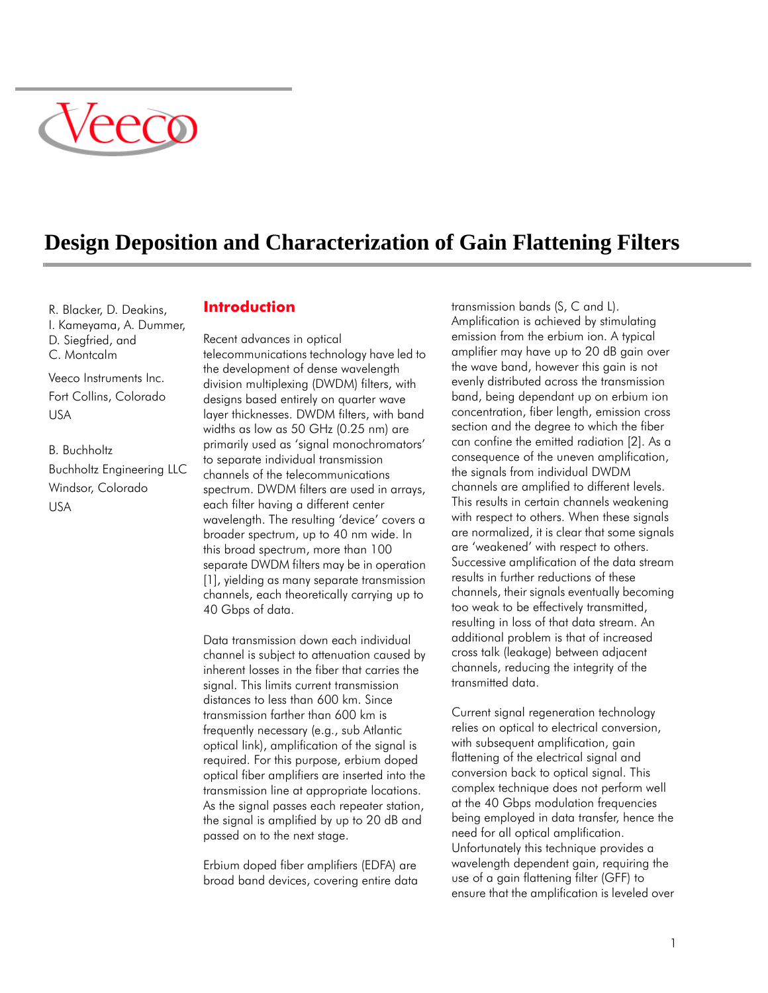

# **Design Deposition and Characterization of Gain Flattening Filters**

R. Blacker, D. Deakins, I. Kameyama, A. Dummer, D. Siegfried, and C. Montcalm

Veeco Instruments Inc. Fort Collins, Colorado USA

B. Buchholtz Buchholtz Engineering LLC Windsor, Colorado USA

## **Introduction**

Recent advances in optical telecommunications technology have led to the development of dense wavelength division multiplexing (DWDM) filters, with designs based entirely on quarter wave layer thicknesses. DWDM filters, with band widths as low as 50 GHz (0.25 nm) are primarily used as 'signal monochromators' to separate individual transmission channels of the telecommunications spectrum. DWDM filters are used in arrays, each filter having a different center wavelength. The resulting 'device' covers a broader spectrum, up to 40 nm wide. In this broad spectrum, more than 100 separate DWDM filters may be in operation [1], yielding as many separate transmission channels, each theoretically carrying up to 40 Gbps of data.

Data transmission down each individual channel is subject to attenuation caused by inherent losses in the fiber that carries the signal. This limits current transmission distances to less than 600 km. Since transmission farther than 600 km is frequently necessary (e.g., sub Atlantic optical link), amplification of the signal is required. For this purpose, erbium doped optical fiber amplifiers are inserted into the transmission line at appropriate locations. As the signal passes each repeater station, the signal is amplified by up to 20 dB and passed on to the next stage.

Erbium doped fiber amplifiers (EDFA) are broad band devices, covering entire data transmission bands (S, C and L). Amplification is achieved by stimulating emission from the erbium ion. A typical amplifier may have up to 20 dB gain over the wave band, however this gain is not evenly distributed across the transmission band, being dependant up on erbium ion concentration, fiber length, emission cross section and the degree to which the fiber can confine the emitted radiation [2]. As a consequence of the uneven amplification, the signals from individual DWDM channels are amplified to different levels. This results in certain channels weakening with respect to others. When these signals are normalized, it is clear that some signals are 'weakened' with respect to others. Successive amplification of the data stream results in further reductions of these channels, their signals eventually becoming too weak to be effectively transmitted, resulting in loss of that data stream. An additional problem is that of increased cross talk (leakage) between adjacent channels, reducing the integrity of the transmitted data.

Current signal regeneration technology relies on optical to electrical conversion, with subsequent amplification, gain flattening of the electrical signal and conversion back to optical signal. This complex technique does not perform well at the 40 Gbps modulation frequencies being employed in data transfer, hence the need for all optical amplification. Unfortunately this technique provides a wavelength dependent gain, requiring the use of a gain flattening filter (GFF) to ensure that the amplification is leveled over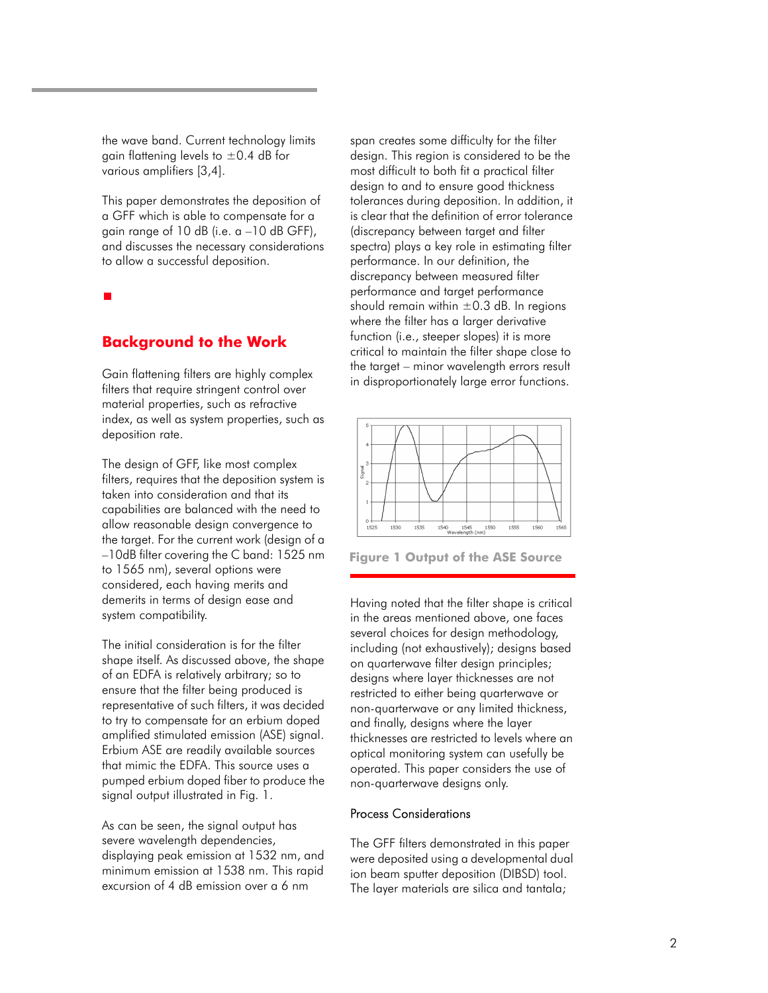the wave band. Current technology limits gain flattening levels to  $\pm$ 0.4 dB for various amplifiers [3,4].

This paper demonstrates the deposition of a GFF which is able to compensate for a gain range of 10 dB (i.e. a –10 dB GFF), and discusses the necessary considerations to allow a successful deposition.

## **Background to the Work**

Gain flattening filters are highly complex filters that require stringent control over material properties, such as refractive index, as well as system properties, such as deposition rate.

The design of GFF, like most complex filters, requires that the deposition system is taken into consideration and that its capabilities are balanced with the need to allow reasonable design convergence to the target. For the current work (design of a –10dB filter covering the C band: 1525 nm to 1565 nm), several options were considered, each having merits and demerits in terms of design ease and system compatibility.

The initial consideration is for the filter shape itself. As discussed above, the shape of an EDFA is relatively arbitrary; so to ensure that the filter being produced is representative of such filters, it was decided to try to compensate for an erbium doped amplified stimulated emission (ASE) signal. Erbium ASE are readily available sources that mimic the EDFA. This source uses a pumped erbium doped fiber to produce the signal output illustrated in Fig. 1.

As can be seen, the signal output has severe wavelength dependencies, displaying peak emission at 1532 nm, and minimum emission at 1538 nm. This rapid excursion of 4 dB emission over a 6 nm

span creates some difficulty for the filter design. This region is considered to be the most difficult to both fit a practical filter design to and to ensure good thickness tolerances during deposition. In addition, it is clear that the definition of error tolerance (discrepancy between target and filter spectra) plays a key role in estimating filter performance. In our definition, the discrepancy between measured filter performance and target performance should remain within  $\pm 0.3$  dB. In regions where the filter has a larger derivative function (i.e., steeper slopes) it is more critical to maintain the filter shape close to the target – minor wavelength errors result in disproportionately large error functions.



**Figure 1 Output of the ASE Source**

Having noted that the filter shape is critical in the areas mentioned above, one faces several choices for design methodology, including (not exhaustively); designs based on quarterwave filter design principles; designs where layer thicknesses are not restricted to either being quarterwave or non-quarterwave or any limited thickness, and finally, designs where the layer thicknesses are restricted to levels where an optical monitoring system can usefully be operated. This paper considers the use of non-quarterwave designs only.

#### Process Considerations

The GFF filters demonstrated in this paper were deposited using a developmental dual ion beam sputter deposition (DIBSD) tool. The layer materials are silica and tantala;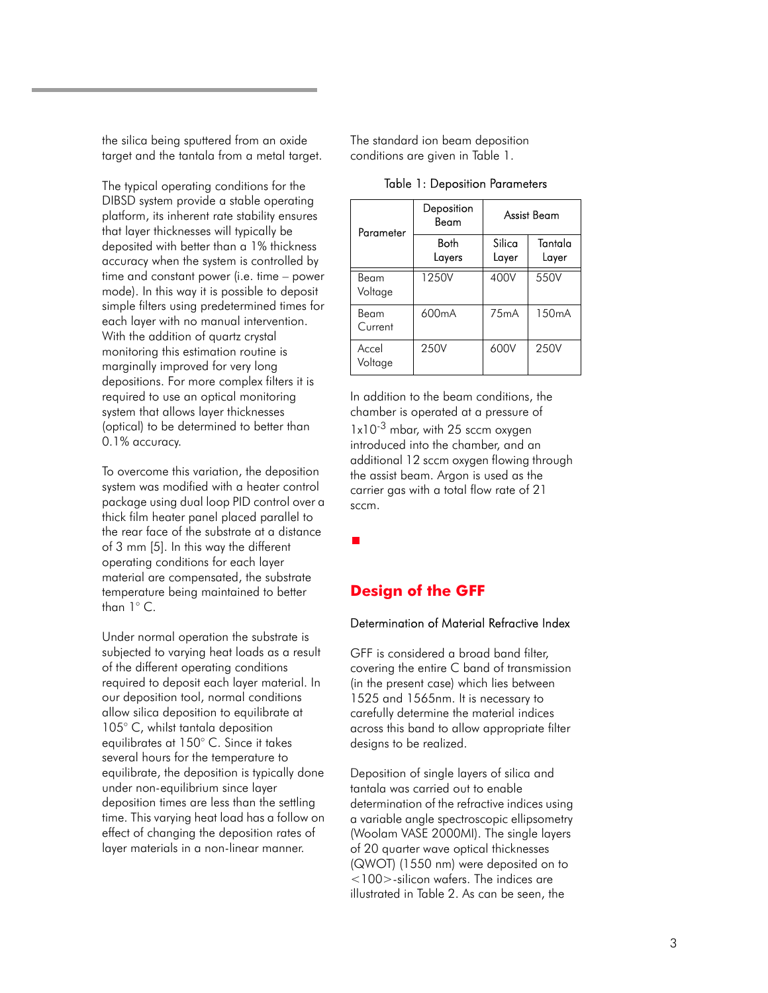the silica being sputtered from an oxide target and the tantala from a metal target.

The typical operating conditions for the DIBSD system provide a stable operating platform, its inherent rate stability ensures that layer thicknesses will typically be deposited with better than a 1% thickness accuracy when the system is controlled by time and constant power (i.e. time – power mode). In this way it is possible to deposit simple filters using predetermined times for each layer with no manual intervention. With the addition of quartz crystal monitoring this estimation routine is marginally improved for very long depositions. For more complex filters it is required to use an optical monitoring system that allows layer thicknesses (optical) to be determined to better than 0.1% accuracy.

To overcome this variation, the deposition system was modified with a heater control package using dual loop PID control over a thick film heater panel placed parallel to the rear face of the substrate at a distance of 3 mm [5]. In this way the different operating conditions for each layer material are compensated, the substrate temperature being maintained to better than 1° C.

Under normal operation the substrate is subjected to varying heat loads as a result of the different operating conditions required to deposit each layer material. In our deposition tool, normal conditions allow silica deposition to equilibrate at 105° C, whilst tantala deposition equilibrates at 150° C. Since it takes several hours for the temperature to equilibrate, the deposition is typically done under non-equilibrium since layer deposition times are less than the settling time. This varying heat load has a follow on effect of changing the deposition rates of layer materials in a non-linear manner.

The standard ion beam deposition conditions are given in Table 1.

| Parameter        | Deposition<br>Beam | Assist Beam     |                    |
|------------------|--------------------|-----------------|--------------------|
|                  | Both<br>Layers     | Silica<br>Layer | Tantala<br>Layer   |
| Beam<br>Voltage  | 1250V              | 400V            | 550V               |
| Beam<br>Current  | 600 <sub>m</sub> A | 75mA            | 150 <sub>m</sub> A |
| Accel<br>Voltage | 250V               | 600V            | 250V               |

#### Table 1: Deposition Parameters

In addition to the beam conditions, the chamber is operated at a pressure of

 $1x10^{-3}$  mbar, with 25 sccm oxygen introduced into the chamber, and an additional 12 sccm oxygen flowing through the assist beam. Argon is used as the carrier gas with a total flow rate of 21 sccm.

## **Design of the GFF**

#### Determination of Material Refractive Index

GFF is considered a broad band filter, covering the entire C band of transmission (in the present case) which lies between 1525 and 1565nm. It is necessary to carefully determine the material indices across this band to allow appropriate filter designs to be realized.

Deposition of single layers of silica and tantala was carried out to enable determination of the refractive indices using a variable angle spectroscopic ellipsometry (Woolam VASE 2000MI). The single layers of 20 quarter wave optical thicknesses (QWOT) (1550 nm) were deposited on to <100>-silicon wafers. The indices are illustrated in Table 2. As can be seen, the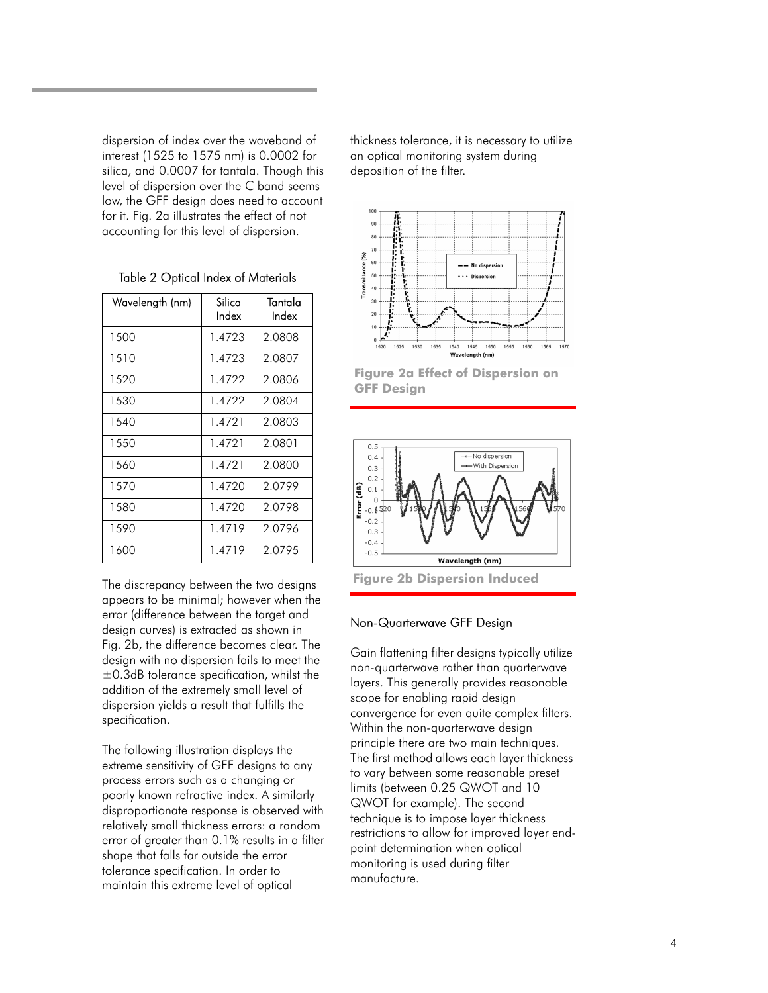dispersion of index over the waveband of interest (1525 to 1575 nm) is 0.0002 for silica, and 0.0007 for tantala. Though this level of dispersion over the C band seems low, the GFF design does need to account for it. Fig. 2a illustrates the effect of not accounting for this level of dispersion.

| Wavelength (nm) | Silica<br>Index | Tantala<br>Index |
|-----------------|-----------------|------------------|
| 1500            | 1.4723          | 2.0808           |
| 1510            | 1.4723          | 2.0807           |
| 1520            | 1.4722          | 2.0806           |
| 1530            | 1.4722          | 2.0804           |
| 1540            | 1.4721          | 2.0803           |
| 1550            | 1.4721          | 2.0801           |
| 1560            | 1.4721          | 2.0800           |
| 1570            | 1.4720          | 2.0799           |
| 1580            | 1.4720          | 2.0798           |
| 1590            | 1.4719          | 2.0796           |
| 1600            | 1.4719          | 2.0795           |

Table 2 Optical Index of Materials

The discrepancy between the two designs appears to be minimal; however when the error (difference between the target and design curves) is extracted as shown in Fig. 2b, the difference becomes clear. The design with no dispersion fails to meet the ±0.3dB tolerance specification, whilst the addition of the extremely small level of dispersion yields a result that fulfills the specification.

The following illustration displays the extreme sensitivity of GFF designs to any process errors such as a changing or poorly known refractive index. A similarly disproportionate response is observed with relatively small thickness errors: a random error of greater than 0.1% results in a filter shape that falls far outside the error tolerance specification. In order to maintain this extreme level of optical

thickness tolerance, it is necessary to utilize an optical monitoring system during deposition of the filter.



**Figure 2a Effect of Dispersion on GFF Design**



#### Non-Quarterwave GFF Design

Gain flattening filter designs typically utilize non-quarterwave rather than quarterwave layers. This generally provides reasonable scope for enabling rapid design convergence for even quite complex filters. Within the non-quarterwave design principle there are two main techniques. The first method allows each layer thickness to vary between some reasonable preset limits (between 0.25 QWOT and 10 QWOT for example). The second technique is to impose layer thickness restrictions to allow for improved layer endpoint determination when optical monitoring is used during filter manufacture.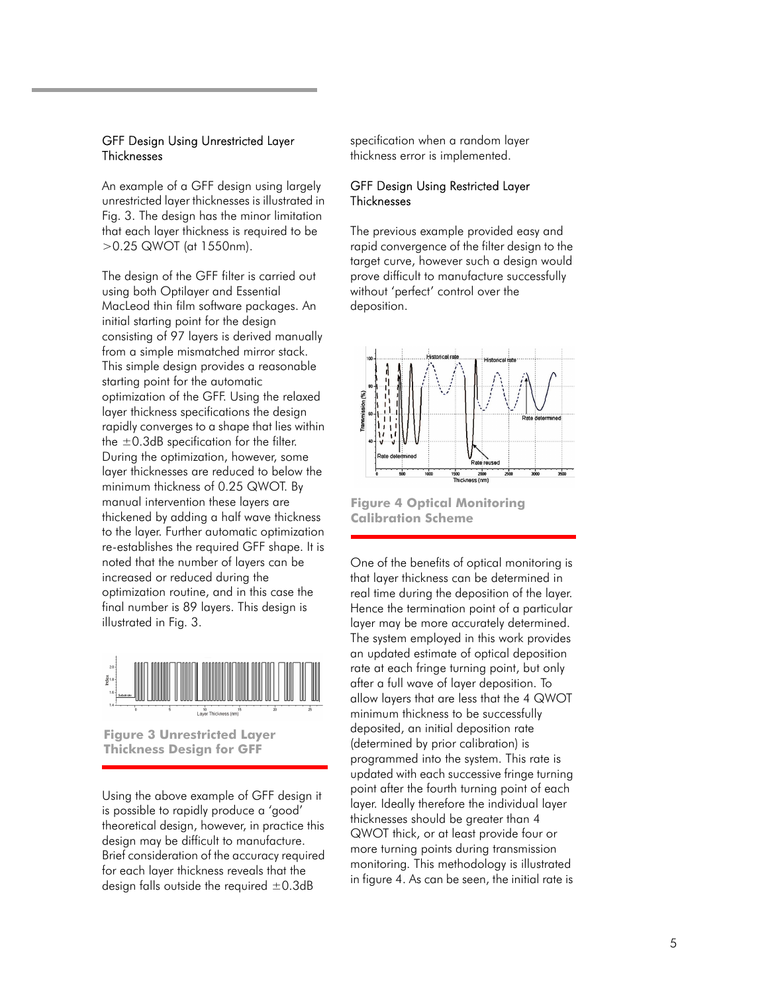#### GFF Design Using Unrestricted Layer **Thicknesses**

An example of a GFF design using largely unrestricted layer thicknesses is illustrated in Fig. 3. The design has the minor limitation that each layer thickness is required to be >0.25 QWOT (at 1550nm).

The design of the GFF filter is carried out using both Optilayer and Essential MacLeod thin film software packages. An initial starting point for the design consisting of 97 layers is derived manually from a simple mismatched mirror stack. This simple design provides a reasonable starting point for the automatic optimization of the GFF. Using the relaxed layer thickness specifications the design rapidly converges to a shape that lies within the  $\pm$ 0.3dB specification for the filter. During the optimization, however, some layer thicknesses are reduced to below the minimum thickness of 0.25 QWOT. By manual intervention these layers are thickened by adding a half wave thickness to the layer. Further automatic optimization re-establishes the required GFF shape. It is noted that the number of layers can be increased or reduced during the optimization routine, and in this case the final number is 89 layers. This design is illustrated in Fig. 3.



**Figure 3 Unrestricted Layer Thickness Design for GFF**

Using the above example of GFF design it is possible to rapidly produce a 'good' theoretical design, however, in practice this design may be difficult to manufacture. Brief consideration of the accuracy required for each layer thickness reveals that the design falls outside the required  $\pm 0.3$ dB

specification when a random layer thickness error is implemented.

#### GFF Design Using Restricted Layer **Thicknesses**

The previous example provided easy and rapid convergence of the filter design to the target curve, however such a design would prove difficult to manufacture successfully without 'perfect' control over the deposition.



**Figure 4 Optical Monitoring Calibration Scheme**

One of the benefits of optical monitoring is that layer thickness can be determined in real time during the deposition of the layer. Hence the termination point of a particular layer may be more accurately determined. The system employed in this work provides an updated estimate of optical deposition rate at each fringe turning point, but only after a full wave of layer deposition. To allow layers that are less that the 4 QWOT minimum thickness to be successfully deposited, an initial deposition rate (determined by prior calibration) is programmed into the system. This rate is updated with each successive fringe turning point after the fourth turning point of each layer. Ideally therefore the individual layer thicknesses should be greater than 4 QWOT thick, or at least provide four or more turning points during transmission monitoring. This methodology is illustrated in figure 4. As can be seen, the initial rate is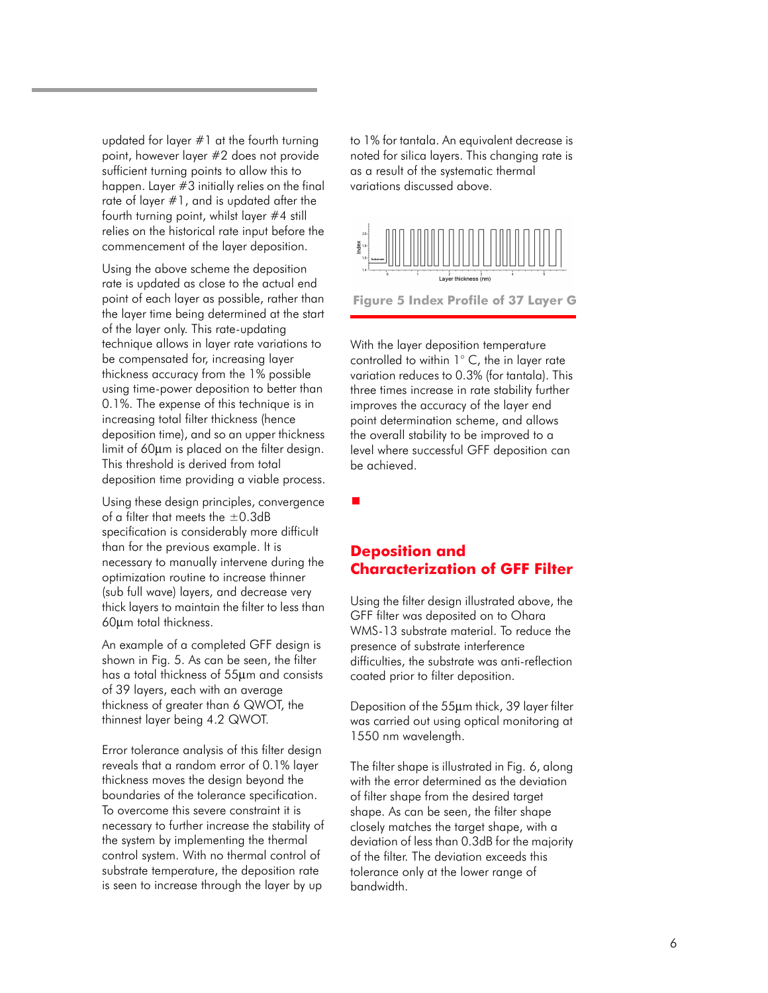updated for layer #1 at the fourth turning point, however layer #2 does not provide sufficient turning points to allow this to happen. Layer #3 initially relies on the final rate of layer #1, and is updated after the fourth turning point, whilst layer #4 still relies on the historical rate input before the commencement of the layer deposition.

Using the above scheme the deposition rate is updated as close to the actual end point of each layer as possible, rather than the layer time being determined at the start of the layer only. This rate-updating technique allows in layer rate variations to be compensated for, increasing layer thickness accuracy from the 1% possible using time-power deposition to better than 0.1%. The expense of this technique is in increasing total filter thickness (hence deposition time), and so an upper thickness limit of 60µm is placed on the filter design. This threshold is derived from total deposition time providing a viable process.

Using these design principles, convergence of a filter that meets the  $\pm$ 0.3dB specification is considerably more difficult than for the previous example. It is necessary to manually intervene during the optimization routine to increase thinner (sub full wave) layers, and decrease very thick layers to maintain the filter to less than 60µm total thickness.

An example of a completed GFF design is shown in Fig. 5. As can be seen, the filter has a total thickness of 55µm and consists of 39 layers, each with an average thickness of greater than 6 QWOT, the thinnest layer being 4.2 QWOT.

Error tolerance analysis of this filter design reveals that a random error of 0.1% layer thickness moves the design beyond the boundaries of the tolerance specification. To overcome this severe constraint it is necessary to further increase the stability of the system by implementing the thermal control system. With no thermal control of substrate temperature, the deposition rate is seen to increase through the layer by up

to 1% for tantala. An equivalent decrease is noted for silica layers. This changing rate is as a result of the systematic thermal variations discussed above.



**Figure 5 Index Profile of 37 Layer G**

With the layer deposition temperature controlled to within 1° C, the in layer rate variation reduces to 0.3% (for tantala). This three times increase in rate stability further improves the accuracy of the layer end point determination scheme, and allows the overall stability to be improved to a level where successful GFF deposition can be achieved.

 $\blacksquare$ 

## **Deposition and Characterization of GFF Filter**

Using the filter design illustrated above, the GFF filter was deposited on to Ohara WMS-13 substrate material. To reduce the presence of substrate interference difficulties, the substrate was anti-reflection coated prior to filter deposition.

Deposition of the 55µm thick, 39 layer filter was carried out using optical monitoring at 1550 nm wavelength.

The filter shape is illustrated in Fig. 6, along with the error determined as the deviation of filter shape from the desired target shape. As can be seen, the filter shape closely matches the target shape, with a deviation of less than 0.3dB for the majority of the filter. The deviation exceeds this tolerance only at the lower range of bandwidth.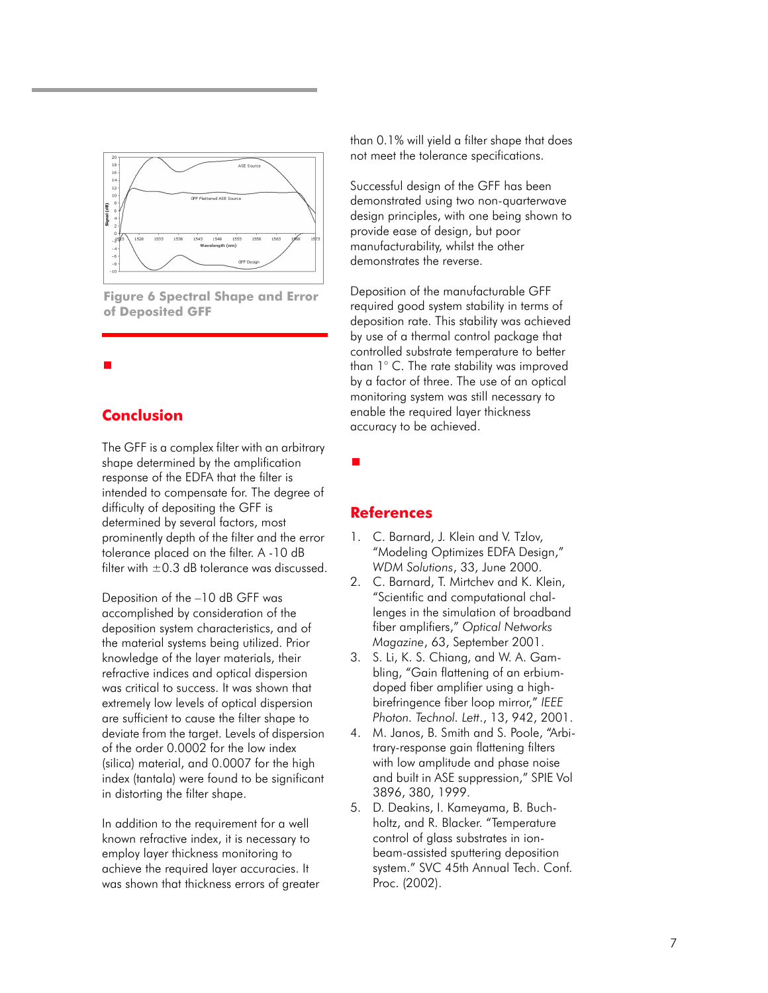

**Figure 6 Spectral Shape and Error of Deposited GFF**

## **Conclusion**

The GFF is a complex filter with an arbitrary shape determined by the amplification response of the EDFA that the filter is intended to compensate for. The degree of difficulty of depositing the GFF is determined by several factors, most prominently depth of the filter and the error tolerance placed on the filter. A -10 dB filter with  $\pm$  0.3 dB tolerance was discussed.

Deposition of the –10 dB GFF was accomplished by consideration of the deposition system characteristics, and of the material systems being utilized. Prior knowledge of the layer materials, their refractive indices and optical dispersion was critical to success. It was shown that extremely low levels of optical dispersion are sufficient to cause the filter shape to deviate from the target. Levels of dispersion of the order 0.0002 for the low index (silica) material, and 0.0007 for the high index (tantala) were found to be significant in distorting the filter shape.

In addition to the requirement for a well known refractive index, it is necessary to employ layer thickness monitoring to achieve the required layer accuracies. It was shown that thickness errors of greater than 0.1% will yield a filter shape that does not meet the tolerance specifications.

Successful design of the GFF has been demonstrated using two non-quarterwave design principles, with one being shown to provide ease of design, but poor manufacturability, whilst the other demonstrates the reverse.

Deposition of the manufacturable GFF required good system stability in terms of deposition rate. This stability was achieved by use of a thermal control package that controlled substrate temperature to better than 1° C. The rate stability was improved by a factor of three. The use of an optical monitoring system was still necessary to enable the required layer thickness accuracy to be achieved.

## **References**

г

- 1. C. Barnard, J. Klein and V. Tzlov, "Modeling Optimizes EDFA Design," *WDM Solutions*, 33, June 2000.
- 2. C. Barnard, T. Mirtchev and K. Klein, "Scientific and computational challenges in the simulation of broadband fiber amplifiers," *Optical Networks Magazine*, 63, September 2001.
- 3. S. Li, K. S. Chiang, and W. A. Gambling, "Gain flattening of an erbiumdoped fiber amplifier using a highbirefringence fiber loop mirror," *IEEE Photon. Technol. Lett*., 13, 942, 2001.
- 4. M. Janos, B. Smith and S. Poole, "Arbitrary-response gain flattening filters with low amplitude and phase noise and built in ASE suppression," SPIE Vol 3896, 380, 1999.
- 5. D. Deakins, I. Kameyama, B. Buchholtz, and R. Blacker. "Temperature control of glass substrates in ionbeam-assisted sputtering deposition system." SVC 45th Annual Tech. Conf. Proc. (2002).